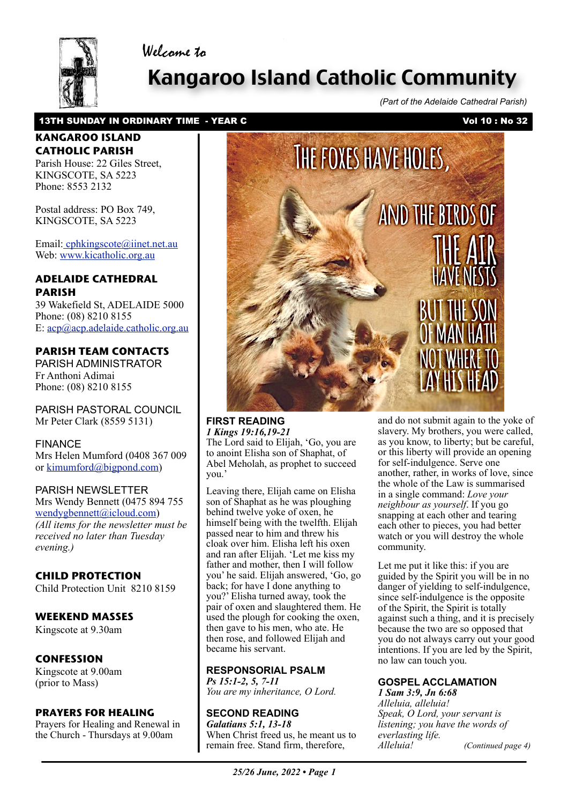



# Kangaroo Island Catholic Community

*(Part of the Adelaide Cathedral Parish)*

## 13TH SUNDAY IN ORDINARY TIME - YEAR C VOL 10 : No 32

# **KANGAROO ISLAND CATHOLIC PARISH**

Parish House: 22 Giles Street, KINGSCOTE, SA 5223 Phone: 8553 2132

Postal address: PO Box 749, KINGSCOTE, SA 5223

Email[: cphkingscote@iinet.net.au](mailto:cphkingscote@iinet.net.au) Web: [www.kicatholic.org.au](http://www.kicatholic.org.au)

## **ADELAIDE CATHEDRAL PARISH**

39 Wakefield St, ADELAIDE 5000 Phone: (08) 8210 8155 E: [acp@acp.adelaide.catholic.org.au](mailto:?subject=)

**PARISH TEAM CONTACTS** PARISH ADMINISTRATOR Fr Anthoni Adimai Phone: (08) 8210 8155

PARISH PASTORAL COUNCIL Mr Peter Clark (8559 5131)

FINANCE Mrs Helen Mumford (0408 367 009 or [kimumford@bigpond.com\)](mailto:kimumford@bigpond.com)

## PARISH NEWSLETTER

Mrs Wendy Bennett (0475 894 755 [wendygbennett@icloud.com\)](mailto:wendygbennett@icloud.com) *(All items for the newsletter must be received no later than Tuesday evening.)*

## **CHILD PROTECTION**

Child Protection Unit 8210 8159

## **WEEKEND MASSES**

Kingscote at 9.30am

# **CONFESSION**

Kingscote at 9.00am (prior to Mass)

## **PRAYERS FOR HEALING**

Prayers for Healing and Renewal in the Church - Thursdays at 9.00am



#### **FIRST READING** *1 Kings 19:16,19-21*

The Lord said to Elijah, 'Go, you are to anoint Elisha son of Shaphat, of Abel Meholah, as prophet to succeed you.'

Leaving there, Elijah came on Elisha son of Shaphat as he was ploughing behind twelve yoke of oxen, he himself being with the twelfth. Elijah passed near to him and threw his cloak over him. Elisha left his oxen and ran after Elijah. 'Let me kiss my father and mother, then I will follow [you' he said. Elijah answered, 'Go, go](file://localhost/Users/gaelterrymaloney/Documents/aa%20Parish%20Newsletter/%20%20%20%20Current%20newsletter/11_12_March,%202017.pages)  back; for have I done anything to you?' Elisha turned away, took the pair of oxen and slaughtered them. He used the plough for cooking the oxen, then gave to his men, who ate. He then rose, and followed Elijah and became his servant.

# **RESPONSORIAL PSALM**

*Ps 15:1-2, 5, 7-11 You are my inheritance, O Lord.*

# **SECOND READING**

*Galatians 5:1, 13-18* When Christ freed us, he meant us to [remain free. Stand firm, therefore,](file://localhost/Users/gaelterrymaloney/Documents/aa%20Parish%20Newsletter/%20%20%20%20Current%20newsletter/11_12_March,%202017.pages) *Alleluia! (Continued page 4)* 

and do not submit again to the yoke of slavery. My brothers, you were called, as you know, to liberty; but be careful, or this liberty will provide an opening for self-indulgence. Serve one another, rather, in works of love, since the whole of the Law is summarised in a single command: *Love your neighbour as yourself*. If you go snapping at each other and tearing each other to pieces, you had better watch or you will destroy the whole community.

Let me put it like this: if you are guided by the Spirit you will be in no danger of yielding to self-indulgence, since self-indulgence is the opposite of the Spirit, the Spirit is totally against such a thing, and it is precisely because the two are so opposed that you do not always carry out your good intentions. If you are led by the Spirit, no law can touch you.

# **GOSPEL ACCLAMATION**

*1 Sam 3:9, Jn 6:68 Alleluia, alleluia! Speak, O Lord, your servant is listening; you have the words of everlasting life. Alleluia!*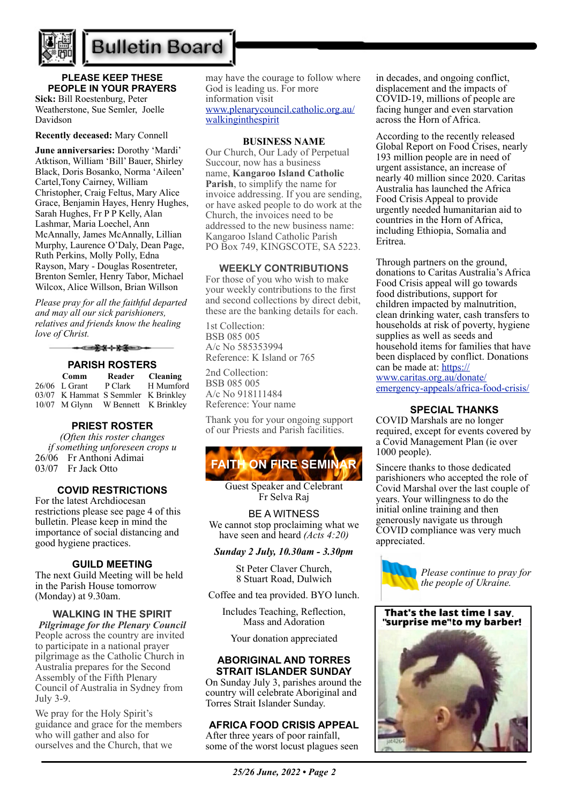

# **Bulletin Board**

## **PLEASE KEEP THESE PEOPLE IN YOUR PRAYERS**

**Sick:** Bill Roestenburg, Peter Weatherstone, Sue Semler, Joelle Davidson

#### **Recently deceased:** Mary Connell

**June anniversaries:** Dorothy 'Mardi' Atktison, William 'Bill' Bauer, Shirley Black, Doris Bosanko, Norma 'Aileen' Cartel,Tony Cairney, William Christopher, Craig Feltus, Mary Alice Grace, Benjamin Hayes, Henry Hughes, Sarah Hughes, Fr P P Kelly, Alan Lashmar, Maria Loechel, Ann McAnnally, James McAnnally, Lillian Murphy, Laurence O'Daly, Dean Page, Ruth Perkins, Molly Polly, Edna Rayson, Mary - Douglas Rosentreter, Brenton Semler, Henry Tabor, Michael Wilcox, Alice Willson, Brian Willson

*Please pray for all the faithful departed and may all our sick parishioners, relatives and friends know the healing love of Christ.*

▅<del>▅≩</del>⋇⊹⋇<del>⋦</del>▅⋾

# **PARISH ROSTERS**

**Comm Reader Cleaning**<br>L Grant P Clark H Mumford 26/06 L Grant 03/07 K Hammat S Semmler K Brinkley 10/07 M Glynn W Bennett K Brinkley

#### **PRIEST ROSTER**

*(Often this roster changes if something unforeseen crops u* 26/06 Fr Anthoni Adimai 03/07 Fr Jack Otto

## **COVID RESTRICTIONS**

For the latest Archdiocesan restrictions please see page 4 of this bulletin. Please keep in mind the importance of social distancing and good hygiene practices.

#### **GUILD MEETING**

The next Guild Meeting will be held in the Parish House tomorrow (Monday) at 9.30am.

## **WALKING IN THE SPIRIT**

*Pilgrimage for the Plenary Council*  People across the country are invited to participate in a national prayer pilgrimage as the Catholic Church in Australia prepares for the Second Assembly of the Fifth Plenary Council of Australia in Sydney from July 3-9.

We pray for the Holy Spirit's guidance and grace for the members who will gather and also for ourselves and the Church, that we

may have the courage to follow where God is leading us. For more information visit [www.plenarycouncil.catholic.org.au/](http://www.plenarycouncil.catholic.org.au/walkinginthespirit) [walkinginthespirit](http://www.plenarycouncil.catholic.org.au/walkinginthespirit)

#### **BUSINESS NAME**

Our Church, Our Lady of Perpetual Succour, now has a business name, **Kangaroo Island Catholic Parish**, to simplify the name for invoice addressing. If you are sending, or have asked people to do work at the Church, the invoices need to be addressed to the new business name: Kangaroo Island Catholic Parish PO Box 749, KINGSCOTE, SA 5223.

#### **WEEKLY CONTRIBUTIONS**

For those of you who wish to make your weekly contributions to the first and second collections by direct debit, these are the banking details for each.

1st Collection: BSB 085 005 A/c No 585353994 Reference: K Island or 765

2nd Collection: BSB 085 005 A/c No 918111484 Reference: Your name

Thank you for your ongoing support of our Priests and Parish facilities.



Guest Speaker and Celebrant Fr Selva Raj

BE A WITNESS We cannot stop proclaiming what we have seen and heard *(Acts 4:20)*

#### *Sunday 2 July, 10.30am - 3.30pm*

St Peter Claver Church, 8 Stuart Road, Dulwich

Coffee and tea provided. BYO lunch.

Includes Teaching, Reflection, Mass and Adoration

Your donation appreciated

#### **ABORIGINAL AND TORRES STRAIT ISLANDER SUNDAY**

On Sunday July 3, parishes around the country will celebrate Aboriginal and Torres Strait Islander Sunday.

## **AFRICA FOOD CRISIS APPEAL**

After three years of poor rainfall, some of the worst locust plagues seen in decades, and ongoing conflict, displacement and the impacts of COVID-19, millions of people are facing hunger and even starvation across the Horn of Africa.

According to the recently released Global Report on Food Crises, nearly 193 million people are in need of urgent assistance, an increase of nearly 40 million since 2020. Caritas Australia has launched the Africa Food Crisis Appeal to provide urgently needed humanitarian aid to countries in the Horn of Africa, including Ethiopia, Somalia and Eritrea.

Through partners on the ground, donations to Caritas Australia's Africa Food Crisis appeal will go towards food distributions, support for children impacted by malnutrition, clean drinking water, cash transfers to households at risk of poverty, hygiene supplies as well as seeds and household items for families that have been displaced by conflict. Donations can be made at: [https://](https://aus01.safelinks.protection.outlook.com/?url=https%3A%2F%2Fwww.caritas.org.au%2Fdonate%2Femergency-appeals%2Fafrica-food-crisis%2F&data=05%7C01%7CCco-Reception%40adelaide.catholic.org.au%7Cead6dda62e784eb618b508da48245abb%7Cfe51d108d61d407cbcaaaab5af82a7ac%7C1%7C0%7C637901618271082353%7CUnknown%7CTWFpbGZsb3d8eyJWIjoiMC4wLjAwMDAiLCJQIjoiV2luMzIiLCJBTiI6Ik1haWwiLCJXVCI6Mn0%3D%7C3000%7C%7C%7C&sdata=8uMoDsTWDOJ0lVamTonKc0fyRAymQhibENAWspCOeTE%3D&reserved=0) [www.caritas.org.au/donate/](https://aus01.safelinks.protection.outlook.com/?url=https%3A%2F%2Fwww.caritas.org.au%2Fdonate%2Femergency-appeals%2Fafrica-food-crisis%2F&data=05%7C01%7CCco-Reception%40adelaide.catholic.org.au%7Cead6dda62e784eb618b508da48245abb%7Cfe51d108d61d407cbcaaaab5af82a7ac%7C1%7C0%7C637901618271082353%7CUnknown%7CTWFpbGZsb3d8eyJWIjoiMC4wLjAwMDAiLCJQIjoiV2luMzIiLCJBTiI6Ik1haWwiLCJXVCI6Mn0%3D%7C3000%7C%7C%7C&sdata=8uMoDsTWDOJ0lVamTonKc0fyRAymQhibENAWspCOeTE%3D&reserved=0) [emergency-appeals/africa-food-crisis/](https://aus01.safelinks.protection.outlook.com/?url=https%3A%2F%2Fwww.caritas.org.au%2Fdonate%2Femergency-appeals%2Fafrica-food-crisis%2F&data=05%7C01%7CCco-Reception%40adelaide.catholic.org.au%7Cead6dda62e784eb618b508da48245abb%7Cfe51d108d61d407cbcaaaab5af82a7ac%7C1%7C0%7C637901618271082353%7CUnknown%7CTWFpbGZsb3d8eyJWIjoiMC4wLjAwMDAiLCJQIjoiV2luMzIiLCJBTiI6Ik1haWwiLCJXVCI6Mn0%3D%7C3000%7C%7C%7C&sdata=8uMoDsTWDOJ0lVamTonKc0fyRAymQhibENAWspCOeTE%3D&reserved=0)

## **SPECIAL THANKS**

COVID Marshals are no longer required, except for events covered by a Covid Management Plan (ie over 1000 people).

Sincere thanks to those dedicated parishioners who accepted the role of Covid Marshal over the last couple of years. Your willingness to do the initial online training and then generously navigate us through COVID compliance was very much appreciated.



*Please continue to pray for the people of Ukraine.*

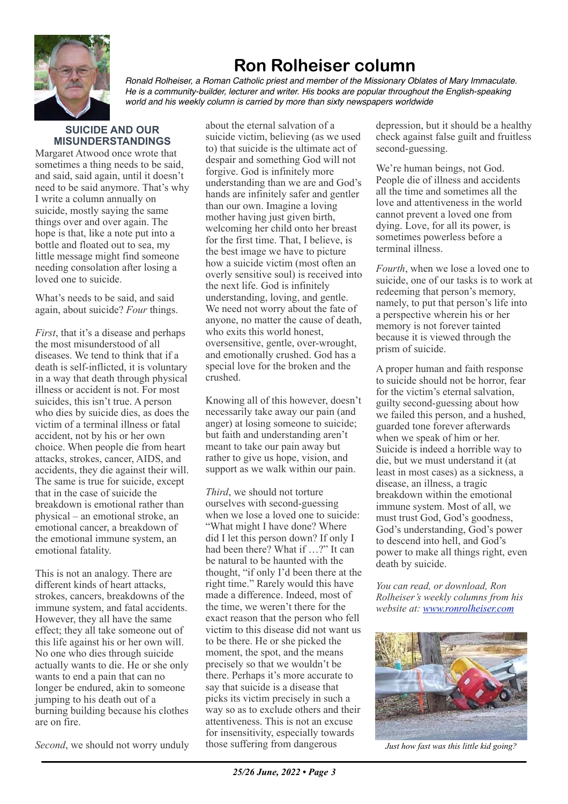

# **Ron Rolheiser column**

*Ronald Rolheiser, a Roman Catholic priest and member of the Missionary Oblates of Mary Immaculate. He is a community-builder, lecturer and writer. His books are popular throughout the English-speaking world and his weekly column is carried by more than sixty newspapers worldwide*

## **SUICIDE AND OUR MISUNDERSTANDINGS**

Margaret Atwood once wrote that sometimes a thing needs to be said, and said, said again, until it doesn't need to be said anymore. That's why I write a column annually on suicide, mostly saying the same things over and over again. The hope is that, like a note put into a bottle and floated out to sea, my little message might find someone needing consolation after losing a loved one to suicide.

What's needs to be said, and said again, about suicide? *Four* things.

*First*, that it's a disease and perhaps the most misunderstood of all diseases. We tend to think that if a death is self-inflicted, it is voluntary in a way that death through physical illness or accident is not. For most suicides, this isn't true. A person who dies by suicide dies, as does the victim of a terminal illness or fatal accident, not by his or her own choice. When people die from heart attacks, strokes, cancer, AIDS, and accidents, they die against their will. The same is true for suicide, except that in the case of suicide the breakdown is emotional rather than physical – an emotional stroke, an emotional cancer, a breakdown of the emotional immune system, an emotional fatality.

This is not an analogy. There are different kinds of heart attacks, strokes, cancers, breakdowns of the immune system, and fatal accidents. However, they all have the same effect; they all take someone out of this life against his or her own will. No one who dies through suicide actually wants to die. He or she only wants to end a pain that can no longer be endured, akin to someone jumping to his death out of a burning building because his clothes are on fire.

*Second*, we should not worry unduly

about the eternal salvation of a suicide victim, believing (as we used to) that suicide is the ultimate act of despair and something God will not forgive. God is infinitely more understanding than we are and God's hands are infinitely safer and gentler than our own. Imagine a loving mother having just given birth, welcoming her child onto her breast for the first time. That, I believe, is the best image we have to picture how a suicide victim (most often an overly sensitive soul) is received into the next life. God is infinitely understanding, loving, and gentle. We need not worry about the fate of anyone, no matter the cause of death, who exits this world honest. oversensitive, gentle, over-wrought, and emotionally crushed. God has a special love for the broken and the crushed.

Knowing all of this however, doesn't necessarily take away our pain (and anger) at losing someone to suicide; but faith and understanding aren't meant to take our pain away but rather to give us hope, vision, and support as we walk within our pain.

*Third*, we should not torture ourselves with second-guessing when we lose a loved one to suicide: "What might I have done? Where did I let this person down? If only I had been there? What if …?" It can be natural to be haunted with the thought, "if only I'd been there at the right time." Rarely would this have made a difference. Indeed, most of the time, we weren't there for the exact reason that the person who fell victim to this disease did not want us to be there. He or she picked the moment, the spot, and the means precisely so that we wouldn't be there. Perhaps it's more accurate to say that suicide is a disease that picks its victim precisely in such a way so as to exclude others and their attentiveness. This is not an excuse for insensitivity, especially towards those suffering from dangerous

depression, but it should be a healthy check against false guilt and fruitless second-guessing.

We're human beings, not God. People die of illness and accidents all the time and sometimes all the love and attentiveness in the world cannot prevent a loved one from dying. Love, for all its power, is sometimes powerless before a terminal illness.

*Fourth*, when we lose a loved one to suicide, one of our tasks is to work at redeeming that person's memory, namely, to put that person's life into a perspective wherein his or her memory is not forever tainted because it is viewed through the prism of suicide.

A proper human and faith response to suicide should not be horror, fear for the victim's eternal salvation, guilty second-guessing about how we failed this person, and a hushed, guarded tone forever afterwards when we speak of him or her. Suicide is indeed a horrible way to die, but we must understand it (at least in most cases) as a sickness, a disease, an illness, a tragic breakdown within the emotional immune system. Most of all, we must trust God, God's goodness, God's understanding, God's power to descend into hell, and God's power to make all things right, even death by suicide.

*You can read, or download, Ron Rolheiser's weekly columns from his website at: [www.ronrolheiser.com](http://www.ronrolheiser.com)*



*Just how fast was this little kid going?*